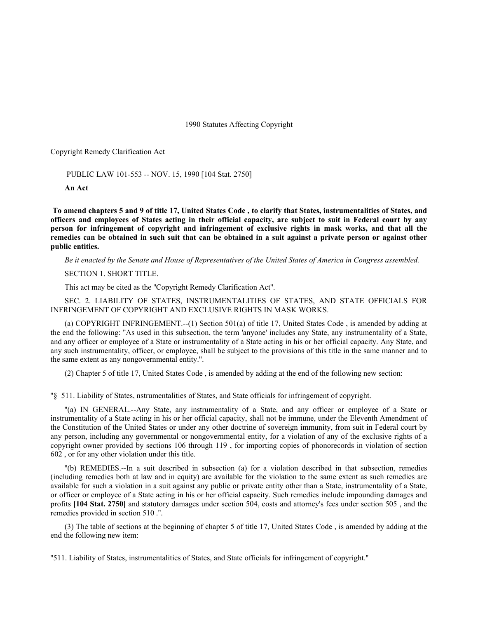1990 Statutes Affecting Copyright

Copyright Remedy Clarification Act

PUBLIC LAW 101-553 -- NOV. 15, 1990 [104 Stat. 2750]

**An Act**

 **To amend chapters 5 and 9 of title 17, United States Code , to clarify that States, instrumentalities of States, and officers and employees of States acting in their official capacity, are subject to suit in Federal court by any person for infringement of copyright and infringement of exclusive rights in mask works, and that all the remedies can be obtained in such suit that can be obtained in a suit against a private person or against other public entities.**

*Be it enacted by the Senate and House of Representatives of the United States of America in Congress assembled.*

SECTION 1. SHORT TITLE.

This act may be cited as the ''Copyright Remedy Clarification Act''.

SEC. 2. LIABILITY OF STATES, INSTRUMENTALITIES OF STATES, AND STATE OFFICIALS FOR INFRINGEMENT OF COPYRIGHT AND EXCLUSIVE RIGHTS IN MASK WORKS.

(a) COPYRIGHT INFRINGEMENT.--(1) Section 501(a) of title 17, United States Code , is amended by adding at the end the following: ''As used in this subsection, the term 'anyone' includes any State, any instrumentality of a State, and any officer or employee of a State or instrumentality of a State acting in his or her official capacity. Any State, and any such instrumentality, officer, or employee, shall be subject to the provisions of this title in the same manner and to the same extent as any nongovernmental entity.''.

(2) Chapter 5 of title 17, United States Code , is amended by adding at the end of the following new section:

''§ 511. Liability of States, nstrumentalities of States, and State officials for infringement of copyright.

''(a) IN GENERAL.--Any State, any instrumentality of a State, and any officer or employee of a State or instrumentality of a State acting in his or her official capacity, shall not be immune, under the Eleventh Amendment of the Constitution of the United States or under any other doctrine of sovereign immunity, from suit in Federal court by any person, including any governmental or nongovernmental entity, for a violation of any of the exclusive rights of a copyright owner provided by sections 106 through 119 , for importing copies of phonorecords in violation of section 602 , or for any other violation under this title.

''(b) REMEDIES.--In a suit described in subsection (a) for a violation described in that subsection, remedies (including remedies both at law and in equity) are available for the violation to the same extent as such remedies are available for such a violation in a suit against any public or private entity other than a State, instrumentality of a State, or officer or employee of a State acting in his or her official capacity. Such remedies include impounding damages and profits **[104 Stat. 2750]** and statutory damages under section 504, costs and attorney's fees under section 505 , and the remedies provided in section 510 .''.

(3) The table of sections at the beginning of chapter 5 of title 17, United States Code , is amended by adding at the end the following new item:

''511. Liability of States, instrumentalities of States, and State officials for infringement of copyright.''